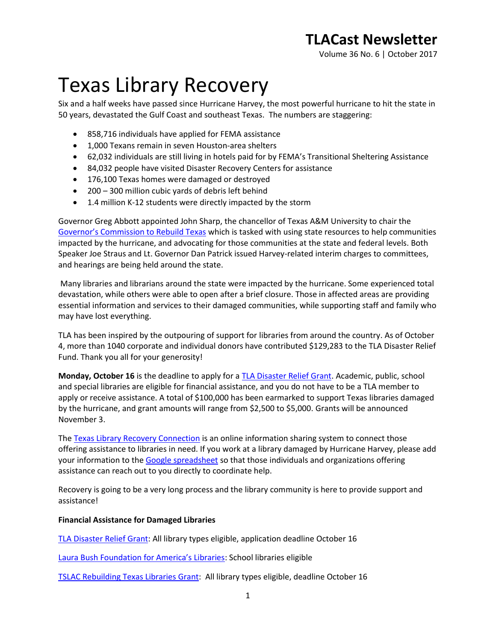Volume 36 No. 6 | October 2017

# Texas Library Recovery

Six and a half weeks have passed since Hurricane Harvey, the most powerful hurricane to hit the state in 50 years, devastated the Gulf Coast and southeast Texas. The numbers are staggering:

- 858,716 individuals have applied for FEMA assistance
- 1,000 Texans remain in seven Houston-area shelters
- 62,032 individuals are still living in hotels paid for by FEMA's Transitional Sheltering Assistance
- 84,032 people have visited Disaster Recovery Centers for assistance
- $\bullet$  176,100 Texas homes were damaged or destroyed
- 200 300 million cubic yards of debris left behind
- 1.4 million K-12 students were directly impacted by the storm

Governor Greg Abbott appointed John Sharp, the chancellor of Texas A&M University to chair the [Governor's Commission to Rebuild Texas](https://www.rebuildtexas.today/) which is tasked with using state resources to help communities impacted by the hurricane, and advocating for those communities at the state and federal levels. Both Speaker Joe Straus and Lt. Governor Dan Patrick issued Harvey-related interim charges to committees, and hearings are being held around the state.

Many libraries and librarians around the state were impacted by the hurricane. Some experienced total devastation, while others were able to open after a brief closure. Those in affected areas are providing essential information and services to their damaged communities, while supporting staff and family who may have lost everything.

TLA has been inspired by the outpouring of support for libraries from around the country. As of October 4, more than 1040 corporate and individual donors have contributed \$129,283 to the TLA Disaster Relief Fund. Thank you all for your generosity!

**Monday, October 16** is the deadline to apply for a [TLA Disaster Relief Grant.](http://www.txla.org/groups/DRC-funds) Academic, public, school and special libraries are eligible for financial assistance, and you do not have to be a TLA member to apply or receive assistance. A total of \$100,000 has been earmarked to support Texas libraries damaged by the hurricane, and grant amounts will range from \$2,500 to \$5,000. Grants will be announced November 3.

The [Texas Library Recovery Connection](http://www.txla.org/library-recovery) is an online information sharing system to connect those offering assistance to libraries in need. If you work at a library damaged by Hurricane Harvey, please add your information to the [Google spreadsheet](https://docs.google.com/spreadsheets/d/1x_iuLXoK79MAeQMes5cD9_viCR-j9n4h7dzWOmyjdq0/edit#gid=0) so that those individuals and organizations offering assistance can reach out to you directly to coordinate help.

Recovery is going to be a very long process and the library community is here to provide support and assistance!

#### **Financial Assistance for Damaged Libraries**

[TLA Disaster Relief Grant:](http://www.txla.org/groups/DRC-funds) All library types eligible, application deadline October 16

[Laura Bush Foundation for America's Libraries](http://www.laurabushfoundation.com/how-to-apply/index.html): School libraries eligible

[TSLAC Rebuilding Texas Libraries Grant:](https://www.tsl.texas.gov/rebuilding-texas-libraries) All library types eligible, deadline October 16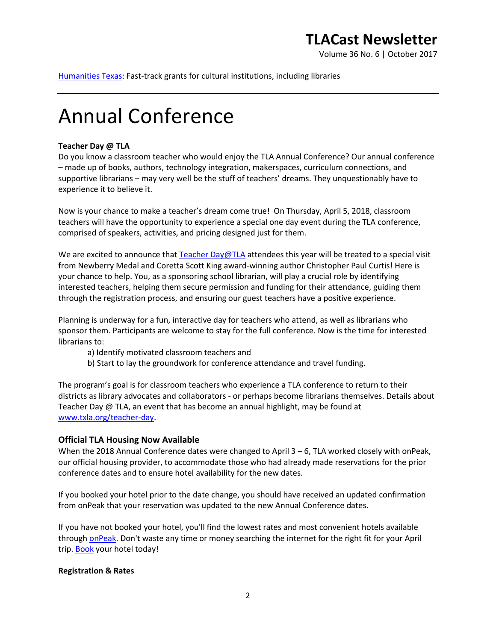Volume 36 No. 6 | October 2017

[Humanities Texas:](http://www.humanitiestexas.org/grants/hurricane-recovery-grants) Fast-track grants for cultural institutions, including libraries

# Annual Conference

#### **Teacher Day @ TLA**

Do you know a classroom teacher who would enjoy the TLA Annual Conference? Our annual conference – made up of books, authors, technology integration, makerspaces, curriculum connections, and supportive librarians – may very well be the stuff of teachers' dreams. They unquestionably have to experience it to believe it.

Now is your chance to make a teacher's dream come true! On Thursday, April 5, 2018, classroom teachers will have the opportunity to experience a special one day event during the TLA conference, comprised of speakers, activities, and pricing designed just for them.

We are excited to announce that [Teacher Day@TLA](http://www.txla.org/teacher-day) attendees this year will be treated to a special visit from Newberry Medal and Coretta Scott King award-winning author Christopher Paul Curtis! Here is your chance to help. You, as a sponsoring school librarian, will play a crucial role by identifying interested teachers, helping them secure permission and funding for their attendance, guiding them through the registration process, and ensuring our guest teachers have a positive experience.

Planning is underway for a fun, interactive day for teachers who attend, as well as librarians who sponsor them. Participants are welcome to stay for the full conference. Now is the time for interested librarians to:

- a) Identify motivated classroom teachers and
- b) Start to lay the groundwork for conference attendance and travel funding.

The program's goal is for classroom teachers who experience a TLA conference to return to their districts as library advocates and collaborators - or perhaps become librarians themselves. Details about Teacher Day @ TLA, an event that has become an annual highlight, may be found at [www.txla.org/teacher-day.](http://www.txla.org/teacher-day)

#### **Official TLA Housing Now Available**

When the 2018 Annual Conference dates were changed to April  $3 - 6$ , TLA worked closely with onPeak, our official housing provider, to accommodate those who had already made reservations for the prior conference dates and to ensure hotel availability for the new dates.

If you booked your hotel prior to the date change, you should have received an updated confirmation from onPeak that your reservation was updated to the new Annual Conference dates.

If you have not booked your hotel, you'll find the lowest rates and most convenient hotels available through [onPeak.](https://compass.onpeak.com/e/62TLA18/7) Don't waste any time or money searching the internet for the right fit for your April trip. [Book](https://compass.onpeak.com/e/62TLA18/7) your hotel today!

#### **Registration & Rates**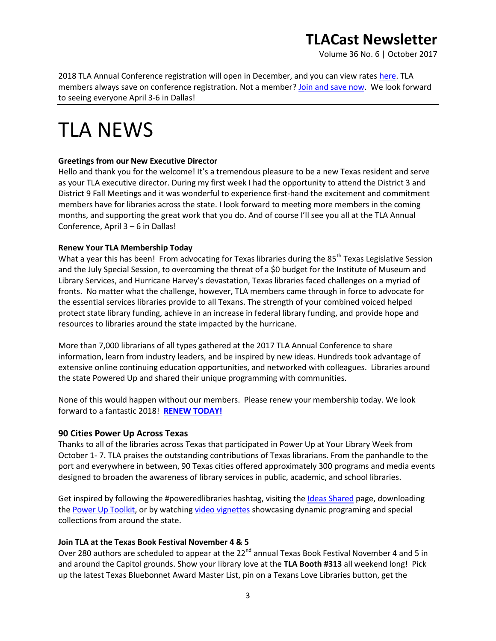Volume 36 No. 6 | October 2017

2018 TLA Annual Conference registration will open in December, and you can view rates [here.](http://www.txla.org/sites/tla/files/2018%20Rates%20-%20ALL.pdf) TLA members always save on conference registration. Not a member[? Join and save now.](http://www.txla.org/join) We look forward to seeing everyone April 3-6 in Dallas!

# TLA NEWS

### **Greetings from our New Executive Director**

Hello and thank you for the welcome! It's a tremendous pleasure to be a new Texas resident and serve as your TLA executive director. During my first week I had the opportunity to attend the District 3 and District 9 Fall Meetings and it was wonderful to experience first-hand the excitement and commitment members have for libraries across the state. I look forward to meeting more members in the coming months, and supporting the great work that you do. And of course I'll see you all at the TLA Annual Conference, April 3 – 6 in Dallas!

### **Renew Your TLA Membership Today**

What a year this has been! From advocating for Texas libraries during the 85<sup>th</sup> Texas Legislative Session and the July Special Session, to overcoming the threat of a \$0 budget for the Institute of Museum and Library Services, and Hurricane Harvey's devastation, Texas libraries faced challenges on a myriad of fronts. No matter what the challenge, however, TLA members came through in force to advocate for the essential services libraries provide to all Texans. The strength of your combined voiced helped protect state library funding, achieve in an increase in federal library funding, and provide hope and resources to libraries around the state impacted by the hurricane.

More than 7,000 librarians of all types gathered at the 2017 TLA Annual Conference to share information, learn from industry leaders, and be inspired by new ideas. Hundreds took advantage of extensive online continuing education opportunities, and networked with colleagues. Libraries around the state Powered Up and shared their unique programming with communities.

None of this would happen without our members. Please renew your membership today. We look forward to a fantastic 2018! **[RENEW TODAY!](https://secure.txla.org/secure/membership/memLogin.asp)**

## **90 Cities Power Up Across Texas**

Thanks to all of the libraries across Texas that participated in Power Up at Your Library Week from October 1- 7. TLA praises the outstanding contributions of Texas librarians. From the panhandle to the port and everywhere in between, 90 Texas cities offered approximately 300 programs and media events designed to broaden the awareness of library services in public, academic, and school libraries.

Get inspired by following the #poweredlibraries hashtag, visiting th[e Ideas Shared](http://www.poweredlibraries.org/ideas-shared/) page, downloading th[e Power Up Toolkit,](http://www.txla.org/sites/tla/files/pdf/handouts/POWER%20UP%20TOOLKIT.pdf) or by watchin[g video vignettes](http://www.poweredlibraries.org/videos) showcasing dynamic programing and special collections from around the state.

#### **Join TLA at the Texas Book Festival November 4 & 5**

Over 280 authors are scheduled to appear at the 22<sup>nd</sup> annual Texas Book Festival November 4 and 5 in and around the Capitol grounds. Show your library love at the **TLA Booth #313** all weekend long! Pick up the latest Texas Bluebonnet Award Master List, pin on a Texans Love Libraries button, get the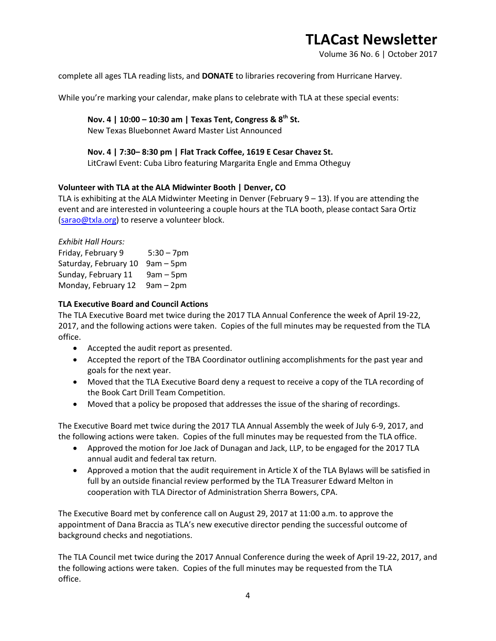Volume 36 No. 6 | October 2017

complete all ages TLA reading lists, and **DONATE** to libraries recovering from Hurricane Harvey.

While you're marking your calendar, make plans to celebrate with TLA at these special events:

## **Nov. 4 | 10:00 – 10:30 am | Texas Tent, Congress & 8th St.**

New Texas Bluebonnet Award Master List Announced

#### **Nov. 4 | 7:30– 8:30 pm | Flat Track Coffee, 1619 E Cesar Chavez St.**

LitCrawl Event: Cuba Libro featuring Margarita Engle and Emma Otheguy

### **Volunteer with TLA at the ALA Midwinter Booth | Denver, CO**

TLA is exhibiting at the ALA Midwinter Meeting in Denver (February 9 – 13). If you are attending the event and are interested in volunteering a couple hours at the TLA booth, please contact Sara Ortiz [\(sarao@txla.org\)](mailto:sarao@txla.org) to reserve a volunteer block.

| <b>Exhibit Hall Hours:</b> |               |
|----------------------------|---------------|
| Friday, February 9         | $5:30 - 7$ pm |
| Saturday, February 10      | $9am - 5pm$   |
| Sunday, February 11        | $9am - 5pm$   |
| Monday, February 12        | $9am - 2pm$   |

#### **TLA Executive Board and Council Actions**

The TLA Executive Board met twice during the 2017 TLA Annual Conference the week of April 19-22, 2017, and the following actions were taken. Copies of the full minutes may be requested from the TLA office.

- Accepted the audit report as presented.
- Accepted the report of the TBA Coordinator outlining accomplishments for the past year and goals for the next year.
- Moved that the TLA Executive Board deny a request to receive a copy of the TLA recording of the Book Cart Drill Team Competition.
- Moved that a policy be proposed that addresses the issue of the sharing of recordings.

The Executive Board met twice during the 2017 TLA Annual Assembly the week of July 6-9, 2017, and the following actions were taken. Copies of the full minutes may be requested from the TLA office.

- Approved the motion for Joe Jack of Dunagan and Jack, LLP, to be engaged for the 2017 TLA annual audit and federal tax return.
- Approved a motion that the audit requirement in Article X of the TLA Bylaws will be satisfied in full by an outside financial review performed by the TLA Treasurer Edward Melton in cooperation with TLA Director of Administration Sherra Bowers, CPA.

The Executive Board met by conference call on August 29, 2017 at 11:00 a.m. to approve the appointment of Dana Braccia as TLA's new executive director pending the successful outcome of background checks and negotiations.

The TLA Council met twice during the 2017 Annual Conference during the week of April 19-22, 2017, and the following actions were taken. Copies of the full minutes may be requested from the TLA office.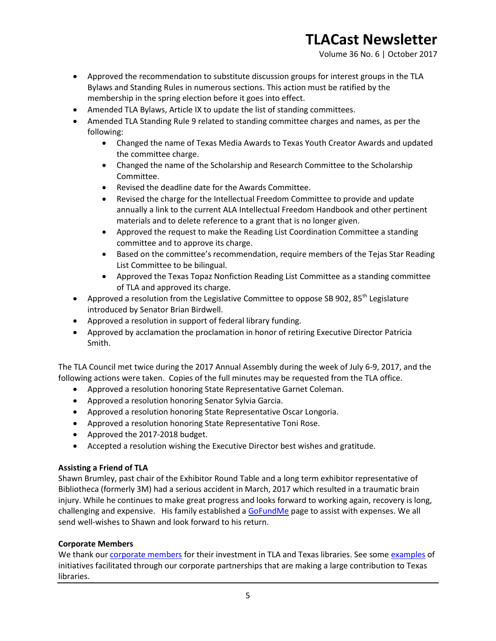Volume 36 No. 6 | October 2017

- Approved the recommendation to substitute discussion groups for interest groups in the TLA Bylaws and Standing Rules in numerous sections. This action must be ratified by the membership in the spring election before it goes into effect.
- Amended TLA Bylaws, Article IX to update the list of standing committees.
- Amended TLA Standing Rule 9 related to standing committee charges and names, as per the following:
	- Changed the name of Texas Media Awards to Texas Youth Creator Awards and updated the committee charge.
	- Changed the name of the Scholarship and Research Committee to the Scholarship Committee.
	- Revised the deadline date for the Awards Committee.
	- Revised the charge for the Intellectual Freedom Committee to provide and update annually a link to the current ALA Intellectual Freedom Handbook and other pertinent materials and to delete reference to a grant that is no longer given.
	- Approved the request to make the Reading List Coordination Committee a standing committee and to approve its charge.
	- Based on the committee's recommendation, require members of the Tejas Star Reading List Committee to be bilingual.
	- Approved the Texas Topaz Nonfiction Reading List Committee as a standing committee of TLA and approved its charge.
- Approved a resolution from the Legislative Committee to oppose SB 902,  $85<sup>th</sup>$  Legislature introduced by Senator Brian Birdwell.
- Approved a resolution in support of federal library funding.
- Approved by acclamation the proclamation in honor of retiring Executive Director Patricia Smith.

The TLA Council met twice during the 2017 Annual Assembly during the week of July 6-9, 2017, and the following actions were taken. Copies of the full minutes may be requested from the TLA office.

- Approved a resolution honoring State Representative Garnet Coleman.
- Approved a resolution honoring Senator Sylvia Garcia.
- Approved a resolution honoring State Representative Oscar Longoria.
- Approved a resolution honoring State Representative Toni Rose.
- Approved the 2017-2018 budget.
- Accepted a resolution wishing the Executive Director best wishes and gratitude.

## **Assisting a Friend of TLA**

Shawn Brumley, past chair of the Exhibitor Round Table and a long term exhibitor representative of Bibliotheca (formerly 3M) had a serious accident in March, 2017 which resulted in a traumatic brain injury. While he continues to make great progress and looks forward to working again, recovery is long, challenging and expensive. His family established [a GoFundMe](https://www.gofundme.com/shawn-brumleys-medical-fund) page to assist with expenses. We all send well-wishes to Shawn and look forward to his return.

## **Corporate Members**

We thank our [corporate members](http://www.txla.org/cm) for their investment in TLA and Texas libraries. See some [examples](http://www.txla.org/public-relations-campaigns) of initiatives facilitated through our corporate partnerships that are making a large contribution to Texas libraries.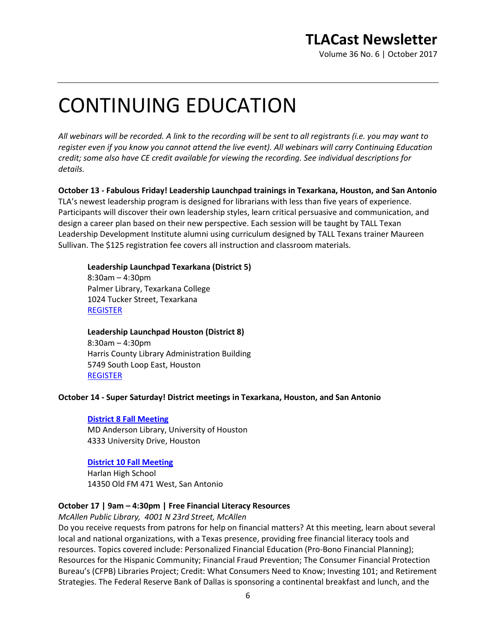Volume 36 No. 6 | October 2017

# CONTINUING EDUCATION

*All webinars will be recorded. A link to the recording will be sent to all registrants (i.e. you may want to register even if you know you cannot attend the live event). All webinars will carry Continuing Education credit; some also have CE credit available for viewing the recording. See individual descriptions for details.*

**October 13 - Fabulous Friday! Leadership Launchpad trainings in Texarkana, Houston, and San Antonio** TLA's newest leadership program is designed for librarians with less than five years of experience. Participants will discover their own leadership styles, learn critical persuasive and communication, and design a career plan based on their new perspective. Each session will be taught by TALL Texan Leadership Development Institute alumni using curriculum designed by TALL Texans trainer Maureen Sullivan. The \$125 registration fee covers all instruction and classroom materials.

#### **Leadership Launchpad Texarkana (District 5)**

8:30am – 4:30pm Palmer Library, Texarkana College 1024 Tucker Street, Texarkana [REGISTER](https://secure.txla.org/secure/forms/mtgLogin.asp)

#### **Leadership Launchpad Houston (District 8)**

8:30am – 4:30pm Harris County Library Administration Building 5749 South Loop East, Houston [REGISTER](https://secure.txla.org/secure/forms/mtgLogin.asp)

#### **October 14 - Super Saturday! District meetings in Texarkana, Houston, and San Antonio**

#### **[District 8 Fall Meeting](http://www.txla.org/groups/D8-Conference)**

MD Anderson Library, University of Houston 4333 University Drive, Houston

#### **[District 10 Fall Meeting](http://www.txla.org/groups/D10-Conference)**

Harlan High School 14350 Old FM 471 West, San Antonio

#### **October 17 | 9am – 4:30pm | Free Financial Literacy Resources**

*McAllen Public Library, 4001 N 23rd Street, McAllen*

Do you receive requests from patrons for help on financial matters? At this meeting, learn about several local and national organizations, with a Texas presence, providing free financial literacy tools and resources. Topics covered include: Personalized Financial Education (Pro-Bono Financial Planning); Resources for the Hispanic Community; Financial Fraud Prevention; The Consumer Financial Protection Bureau's (CFPB) Libraries Project; Credit: What Consumers Need to Know; Investing 101; and Retirement Strategies. The Federal Reserve Bank of Dallas is sponsoring a continental breakfast and lunch, and the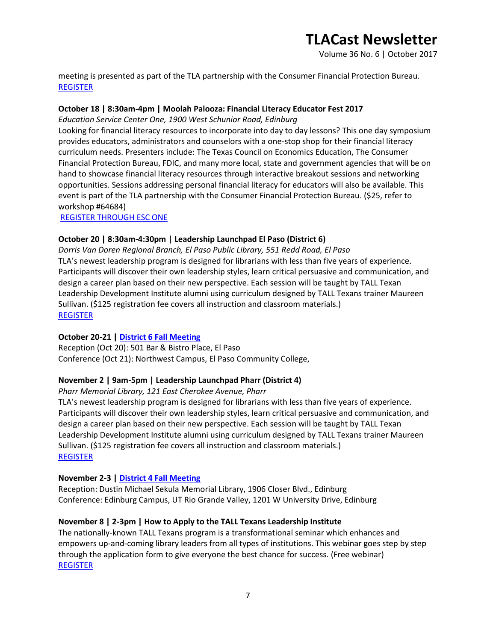Volume 36 No. 6 | October 2017

meeting is presented as part of the TLA partnership with the Consumer Financial Protection Bureau. [REGISTER](https://secure.txla.org/secure/forms/mtgLogin.asp)

### **October 18 | 8:30am-4pm | Moolah Palooza: Financial Literacy Educator Fest 2017**

*Education Service Center One, 1900 West Schunior Road, Edinburg*

Looking for financial literacy resources to incorporate into day to day lessons? This one day symposium provides educators, administrators and counselors with a one-stop shop for their financial literacy curriculum needs. Presenters include: The Texas Council on Economics Education, The Consumer Financial Protection Bureau, FDIC, and many more local, state and government agencies that will be on hand to showcase financial literacy resources through interactive breakout sessions and networking opportunities. Sessions addressing personal financial literacy for educators will also be available. This event is part of the TLA partnership with the Consumer Financial Protection Bureau. (\$25, refer to workshop #64684)

[REGISTER THROUGH ESC ONE](http://www.esc1.net/staffdevelopment)

### **October 20 | 8:30am-4:30pm | Leadership Launchpad El Paso (District 6)**

*Dorris Van Doren Regional Branch, El Paso Public Library, 551 Redd Road, El Paso* TLA's newest leadership program is designed for librarians with less than five years of experience. Participants will discover their own leadership styles, learn critical persuasive and communication, and design a career plan based on their new perspective. Each session will be taught by TALL Texan Leadership Development Institute alumni using curriculum designed by TALL Texans trainer Maureen Sullivan. (\$125 registration fee covers all instruction and classroom materials.) [REGISTER](https://secure.txla.org/secure/forms/mtgLogin.asp) 

#### **October 20-21 [| District 6 Fall Meeting](http://www.txla.org/groups/D6)**

Reception (Oct 20): 501 Bar & Bistro Place, El Paso Conference (Oct 21): Northwest Campus, El Paso Community College,

## **November 2 | 9am-5pm | Leadership Launchpad Pharr (District 4)**

#### *Pharr Memorial Library, 121 East Cherokee Avenue, Pharr*

TLA's newest leadership program is designed for librarians with less than five years of experience. Participants will discover their own leadership styles, learn critical persuasive and communication, and design a career plan based on their new perspective. Each session will be taught by TALL Texan Leadership Development Institute alumni using curriculum designed by TALL Texans trainer Maureen Sullivan. (\$125 registration fee covers all instruction and classroom materials.) [REGISTER](https://secure.txla.org/secure/forms/mtgLogin.asp)

#### **November 2-3 [| District 4 Fall Meeting](http://www.txla.org/groups/D4-Meetings)**

Reception: Dustin Michael Sekula Memorial Library, 1906 Closer Blvd., Edinburg Conference: Edinburg Campus, UT Rio Grande Valley, 1201 W University Drive, Edinburg

## **November 8 | 2-3pm | How to Apply to the TALL Texans Leadership Institute**

The nationally-known TALL Texans program is a transformational seminar which enhances and empowers up-and-coming library leaders from all types of institutions. This webinar goes step by step through the application form to give everyone the best chance for success. (Free webinar) [REGISTER](https://join.onstreammedia.com/register/80146595/talltxregistration)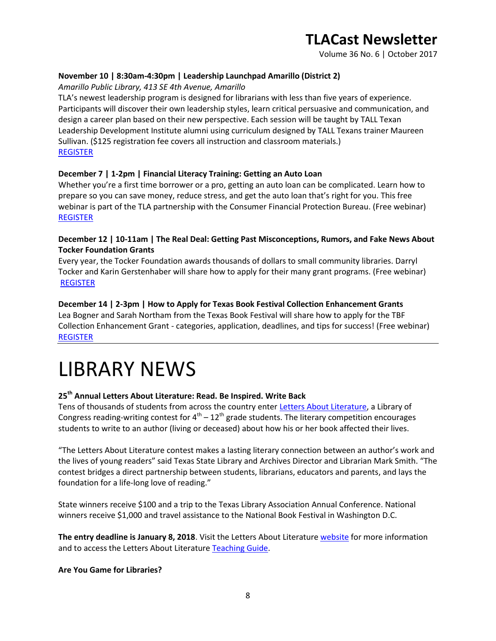Volume 36 No. 6 | October 2017

### **November 10 | 8:30am-4:30pm | Leadership Launchpad Amarillo (District 2)**

*Amarillo Public Library, 413 SE 4th Avenue, Amarillo*

TLA's newest leadership program is designed for librarians with less than five years of experience. Participants will discover their own leadership styles, learn critical persuasive and communication, and design a career plan based on their new perspective. Each session will be taught by TALL Texan Leadership Development Institute alumni using curriculum designed by TALL Texans trainer Maureen Sullivan. (\$125 registration fee covers all instruction and classroom materials.) [REGISTER](https://secure.txla.org/secure/forms/mtgLogin.asp)

#### **December 7 | 1-2pm | Financial Literacy Training: Getting an Auto Loan**

Whether you're a first time borrower or a pro, getting an auto loan can be complicated. Learn how to prepare so you can save money, reduce stress, and get the auto loan that's right for you. This free webinar is part of the TLA partnership with the Consumer Financial Protection Bureau. (Free webinar) [REGISTER](https://join.onstreammedia.com/register/80146595/carloan)

### **December 12 | 10-11am | The Real Deal: Getting Past Misconceptions, Rumors, and Fake News About Tocker Foundation Grants**

Every year, the Tocker Foundation awards thousands of dollars to small community libraries. Darryl Tocker and Karin Gerstenhaber will share how to apply for their many grant programs. (Free webinar) **[REGISTER](https://join.onstreammedia.com/register/80146595/tockerreg)** 

### **December 14 | 2-3pm | How to Apply for Texas Book Festival Collection Enhancement Grants**

Lea Bogner and Sarah Northam from the Texas Book Festival will share how to apply for the TBF Collection Enhancement Grant - categories, application, deadlines, and tips for success! (Free webinar) [REGISTER](https://join.onstreammedia.com/register/80146595/tbf1)

# LIBRARY NEWS

## **25th Annual Letters About Literature: Read. Be Inspired. Write Back**

Tens of thousands of students from across the country enter [Letters About Literature,](https://www.tsl.texas.gov/sites/default/files/public/tslac/exec/LAL%20Flyer%20Jan%2012.pdf) a Library of Congress reading-writing contest for  $4^{th}$  –  $12^{th}$  grade students. The literary competition encourages students to write to an author (living or deceased) about how his or her book affected their lives.

"The Letters About Literature contest makes a lasting literary connection between an author's work and the lives of young readers" said Texas State Library and Archives Director and Librarian Mark Smith. "The contest bridges a direct partnership between students, librarians, educators and parents, and lays the foundation for a life-long love of reading."

State winners receive \$100 and a trip to the Texas Library Association Annual Conference. National winners receive \$1,000 and travel assistance to the National Book Festival in Washington D.C.

**The entry deadline is January 8, 2018**. Visit the Letters About Literatur[e website](http://read.gov/letters/) for more information and to access the Letters About Literature [Teaching Guide.](http://read.gov/documents/LAL-Teaching-Guide-REVISED.pdf)

#### **Are You Game for Libraries?**